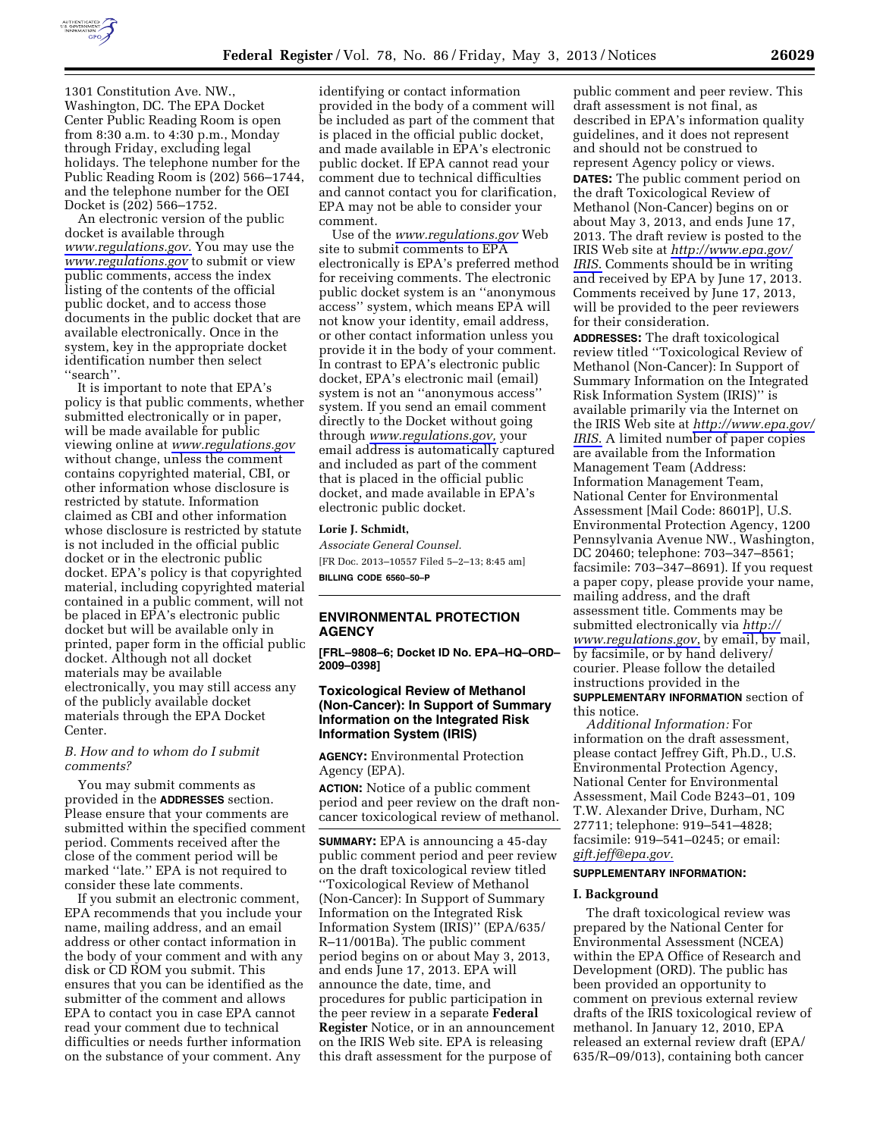

1301 Constitution Ave. NW., Washington, DC. The EPA Docket Center Public Reading Room is open from 8:30 a.m. to 4:30 p.m., Monday through Friday, excluding legal holidays. The telephone number for the Public Reading Room is (202) 566–1744, and the telephone number for the OEI Docket is (202) 566–1752.

An electronic version of the public docket is available through *[www.regulations.gov.](http://www.regulations.gov)* You may use the *[www.regulations.gov](http://www.regulations.gov)* to submit or view public comments, access the index listing of the contents of the official public docket, and to access those documents in the public docket that are available electronically. Once in the system, key in the appropriate docket identification number then select ''search''.

It is important to note that EPA's policy is that public comments, whether submitted electronically or in paper, will be made available for public viewing online at *[www.regulations.gov](http://www.regulations.gov)*  without change, unless the comment contains copyrighted material, CBI, or other information whose disclosure is restricted by statute. Information claimed as CBI and other information whose disclosure is restricted by statute is not included in the official public docket or in the electronic public docket. EPA's policy is that copyrighted material, including copyrighted material contained in a public comment, will not be placed in EPA's electronic public docket but will be available only in printed, paper form in the official public docket. Although not all docket materials may be available electronically, you may still access any of the publicly available docket materials through the EPA Docket Center.

#### *B. How and to whom do I submit comments?*

You may submit comments as provided in the **ADDRESSES** section. Please ensure that your comments are submitted within the specified comment period. Comments received after the close of the comment period will be marked ''late.'' EPA is not required to consider these late comments.

If you submit an electronic comment, EPA recommends that you include your name, mailing address, and an email address or other contact information in the body of your comment and with any disk or CD ROM you submit. This ensures that you can be identified as the submitter of the comment and allows EPA to contact you in case EPA cannot read your comment due to technical difficulties or needs further information on the substance of your comment. Any

identifying or contact information provided in the body of a comment will be included as part of the comment that is placed in the official public docket, and made available in EPA's electronic public docket. If EPA cannot read your comment due to technical difficulties and cannot contact you for clarification, EPA may not be able to consider your comment.

Use of the *[www.regulations.gov](http://www.regulations.gov)* Web site to submit comments to EPA electronically is EPA's preferred method for receiving comments. The electronic public docket system is an ''anonymous access'' system, which means EPA will not know your identity, email address, or other contact information unless you provide it in the body of your comment. In contrast to EPA's electronic public docket, EPA's electronic mail (email) system is not an ''anonymous access'' system. If you send an email comment directly to the Docket without going through *[www.regulations.gov,](http://www.regulations.gov)* your email address is automatically captured and included as part of the comment that is placed in the official public docket, and made available in EPA's electronic public docket.

#### **Lorie J. Schmidt,**

*Associate General Counsel.*  [FR Doc. 2013–10557 Filed 5–2–13; 8:45 am] **BILLING CODE 6560–50–P** 

## **ENVIRONMENTAL PROTECTION AGENCY**

**[FRL–9808–6; Docket ID No. EPA–HQ–ORD– 2009–0398]** 

## **Toxicological Review of Methanol (Non-Cancer): In Support of Summary Information on the Integrated Risk Information System (IRIS)**

**AGENCY:** Environmental Protection Agency (EPA).

**ACTION:** Notice of a public comment period and peer review on the draft noncancer toxicological review of methanol.

**SUMMARY:** EPA is announcing a 45-day public comment period and peer review on the draft toxicological review titled ''Toxicological Review of Methanol (Non-Cancer): In Support of Summary Information on the Integrated Risk Information System (IRIS)'' (EPA/635/ R–11/001Ba). The public comment period begins on or about May 3, 2013, and ends June 17, 2013. EPA will announce the date, time, and procedures for public participation in the peer review in a separate **Federal Register** Notice, or in an announcement on the IRIS Web site. EPA is releasing this draft assessment for the purpose of

public comment and peer review. This draft assessment is not final, as described in EPA's information quality guidelines, and it does not represent and should not be construed to represent Agency policy or views. **DATES:** The public comment period on the draft Toxicological Review of Methanol (Non-Cancer) begins on or about May 3, 2013, and ends June 17, 2013. The draft review is posted to the IRIS Web site at *[http://www.epa.gov/](http://www.epa.gov/IRIS)  [IRIS](http://www.epa.gov/IRIS)*. Comments should be in writing and received by EPA by June 17, 2013. Comments received by June 17, 2013, will be provided to the peer reviewers for their consideration.

**ADDRESSES:** The draft toxicological review titled ''Toxicological Review of Methanol (Non-Cancer): In Support of Summary Information on the Integrated Risk Information System (IRIS)'' is available primarily via the Internet on the IRIS Web site at *[http://www.epa.gov/](http://www.epa.gov/IRIS)  [IRIS](http://www.epa.gov/IRIS)*. A limited number of paper copies are available from the Information Management Team (Address: Information Management Team, National Center for Environmental Assessment [Mail Code: 8601P], U.S. Environmental Protection Agency, 1200 Pennsylvania Avenue NW., Washington, DC 20460; telephone: 703–347–8561; facsimile: 703–347–8691). If you request a paper copy, please provide your name, mailing address, and the draft assessment title. Comments may be submitted electronically via *[http://](http://www.regulations.gov) [www.regulations.gov](http://www.regulations.gov)*, by email, by mail, by facsimile, or by hand delivery/ courier. Please follow the detailed instructions provided in the **SUPPLEMENTARY INFORMATION** section of this notice.

*Additional Information:* For information on the draft assessment, please contact Jeffrey Gift, Ph.D., U.S. Environmental Protection Agency, National Center for Environmental Assessment, Mail Code B243–01, 109 T.W. Alexander Drive, Durham, NC 27711; telephone: 919–541–4828; facsimile: 919–541–0245; or email: *[gift.jeff@epa.gov.](mailto:gift.jeff@epa.gov)* 

### **SUPPLEMENTARY INFORMATION:**

#### **I. Background**

The draft toxicological review was prepared by the National Center for Environmental Assessment (NCEA) within the EPA Office of Research and Development (ORD). The public has been provided an opportunity to comment on previous external review drafts of the IRIS toxicological review of methanol. In January 12, 2010, EPA released an external review draft (EPA/ 635/R–09/013), containing both cancer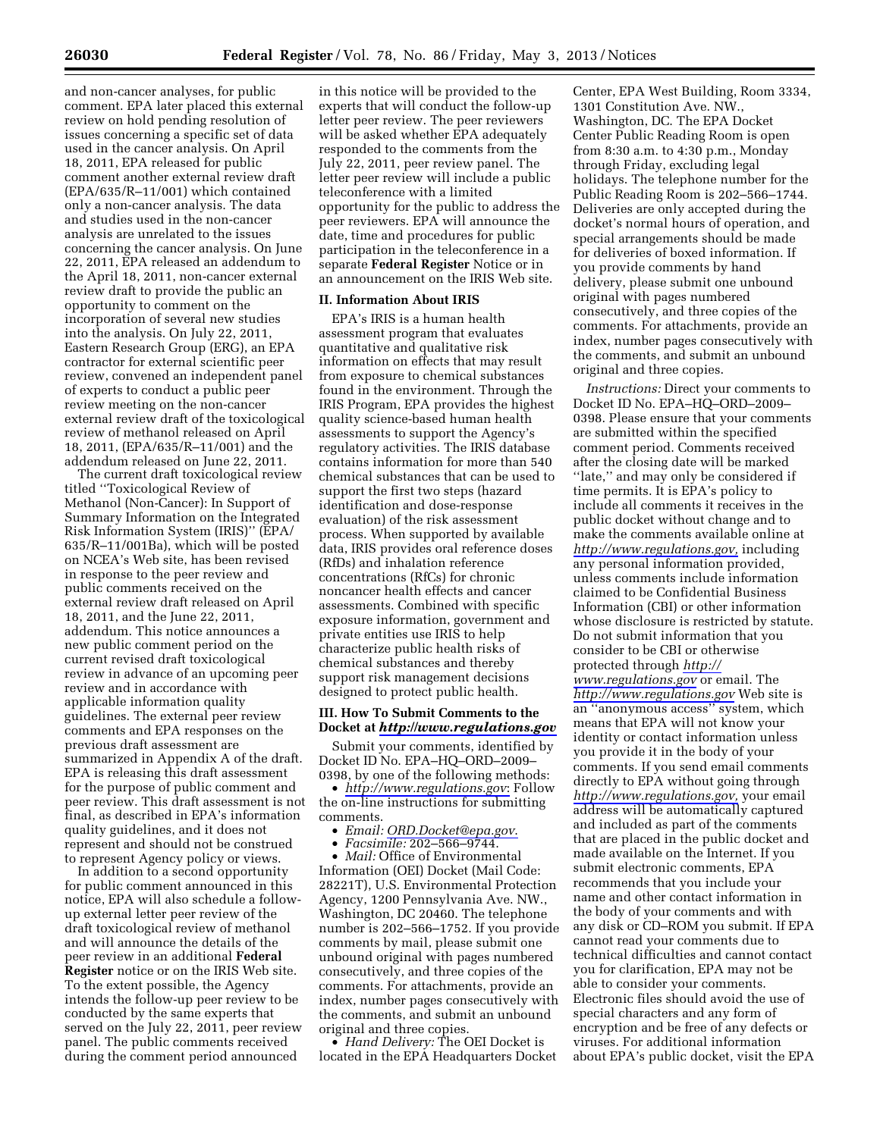and non-cancer analyses, for public comment. EPA later placed this external review on hold pending resolution of issues concerning a specific set of data used in the cancer analysis. On April 18, 2011, EPA released for public comment another external review draft (EPA/635/R–11/001) which contained only a non-cancer analysis. The data and studies used in the non-cancer analysis are unrelated to the issues concerning the cancer analysis. On June 22, 2011, EPA released an addendum to the April 18, 2011, non-cancer external review draft to provide the public an opportunity to comment on the incorporation of several new studies into the analysis. On July 22, 2011, Eastern Research Group (ERG), an EPA contractor for external scientific peer review, convened an independent panel of experts to conduct a public peer review meeting on the non-cancer external review draft of the toxicological review of methanol released on April 18, 2011, (EPA/635/R–11/001) and the addendum released on June 22, 2011.

The current draft toxicological review titled ''Toxicological Review of Methanol (Non-Cancer): In Support of Summary Information on the Integrated Risk Information System (IRIS)'' (EPA/ 635/R–11/001Ba), which will be posted on NCEA's Web site, has been revised in response to the peer review and public comments received on the external review draft released on April 18, 2011, and the June 22, 2011, addendum. This notice announces a new public comment period on the current revised draft toxicological review in advance of an upcoming peer review and in accordance with applicable information quality guidelines. The external peer review comments and EPA responses on the previous draft assessment are summarized in Appendix A of the draft. EPA is releasing this draft assessment for the purpose of public comment and peer review. This draft assessment is not final, as described in EPA's information quality guidelines, and it does not represent and should not be construed to represent Agency policy or views.

In addition to a second opportunity for public comment announced in this notice, EPA will also schedule a followup external letter peer review of the draft toxicological review of methanol and will announce the details of the peer review in an additional **Federal Register** notice or on the IRIS Web site. To the extent possible, the Agency intends the follow-up peer review to be conducted by the same experts that served on the July 22, 2011, peer review panel. The public comments received during the comment period announced

in this notice will be provided to the experts that will conduct the follow-up letter peer review. The peer reviewers will be asked whether EPA adequately responded to the comments from the July 22, 2011, peer review panel. The letter peer review will include a public teleconference with a limited opportunity for the public to address the peer reviewers. EPA will announce the date, time and procedures for public participation in the teleconference in a separate **Federal Register** Notice or in an announcement on the IRIS Web site.

#### **II. Information About IRIS**

EPA's IRIS is a human health assessment program that evaluates quantitative and qualitative risk information on effects that may result from exposure to chemical substances found in the environment. Through the IRIS Program, EPA provides the highest quality science-based human health assessments to support the Agency's regulatory activities. The IRIS database contains information for more than 540 chemical substances that can be used to support the first two steps (hazard identification and dose-response evaluation) of the risk assessment process. When supported by available data, IRIS provides oral reference doses (RfDs) and inhalation reference concentrations (RfCs) for chronic noncancer health effects and cancer assessments. Combined with specific exposure information, government and private entities use IRIS to help characterize public health risks of chemical substances and thereby support risk management decisions designed to protect public health.

# **III. How To Submit Comments to the Docket at** *<http://www.regulations.gov>*

Submit your comments, identified by Docket ID No. EPA–HQ–ORD–2009– 0398, by one of the following methods:

• *<http://www.regulations.gov>*: Follow the on-line instructions for submitting comments.

• *Email: [ORD.Docket@epa.gov](mailto:ORD.Docket@epa.gov)*.

• *Facsimile:* 202–566–9744.

• *Mail:* Office of Environmental Information (OEI) Docket (Mail Code: 28221T), U.S. Environmental Protection Agency, 1200 Pennsylvania Ave. NW., Washington, DC 20460. The telephone number is 202–566–1752. If you provide comments by mail, please submit one unbound original with pages numbered consecutively, and three copies of the comments. For attachments, provide an index, number pages consecutively with the comments, and submit an unbound original and three copies.

• *Hand Delivery:* The OEI Docket is located in the EPA Headquarters Docket

Center, EPA West Building, Room 3334, 1301 Constitution Ave. NW., Washington, DC. The EPA Docket Center Public Reading Room is open from 8:30 a.m. to 4:30 p.m., Monday through Friday, excluding legal holidays. The telephone number for the Public Reading Room is 202–566–1744. Deliveries are only accepted during the docket's normal hours of operation, and special arrangements should be made for deliveries of boxed information. If you provide comments by hand delivery, please submit one unbound original with pages numbered consecutively, and three copies of the comments. For attachments, provide an index, number pages consecutively with the comments, and submit an unbound original and three copies.

*Instructions:* Direct your comments to Docket ID No. EPA–HQ–ORD–2009– 0398. Please ensure that your comments are submitted within the specified comment period. Comments received after the closing date will be marked ''late,'' and may only be considered if time permits. It is EPA's policy to include all comments it receives in the public docket without change and to make the comments available online at *[http://www.regulations.gov,](http://www.regulations.gov)* including any personal information provided, unless comments include information claimed to be Confidential Business Information (CBI) or other information whose disclosure is restricted by statute. Do not submit information that you consider to be CBI or otherwise protected through *[http://](http://www.regulations.gov)  [www.regulations.gov](http://www.regulations.gov)* or email. The *<http://www.regulations.gov>* Web site is an ''anonymous access'' system, which means that EPA will not know your identity or contact information unless you provide it in the body of your comments. If you send email comments directly to EPA without going through *[http://www.regulations.gov,](http://www.regulations.gov)* your email address will be automatically captured and included as part of the comments that are placed in the public docket and made available on the Internet. If you submit electronic comments, EPA recommends that you include your name and other contact information in the body of your comments and with any disk or CD–ROM you submit. If EPA cannot read your comments due to technical difficulties and cannot contact you for clarification, EPA may not be able to consider your comments. Electronic files should avoid the use of special characters and any form of encryption and be free of any defects or viruses. For additional information about EPA's public docket, visit the EPA